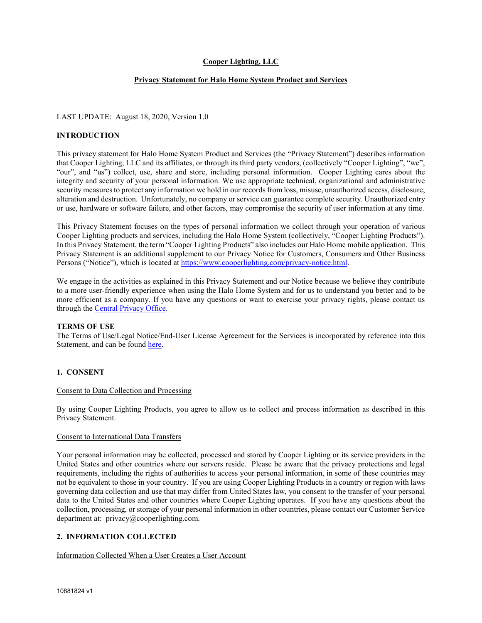# **Cooper Lighting, LLC**

# **Privacy Statement for Halo Home System Product and Services**

### LAST UPDATE: August 18, 2020, Version 1.0

### **INTRODUCTION**

This privacy statement for Halo Home System Product and Services (the "Privacy Statement") describes information that Cooper Lighting, LLC and its affiliates, or through its third party vendors, (collectively "Cooper Lighting", "we", "our", and "us") collect, use, share and store, including personal information. Cooper Lighting cares about the integrity and security of your personal information. We use appropriate technical, organizational and administrative security measures to protect any information we hold in our records from loss, misuse, unauthorized access, disclosure, alteration and destruction. Unfortunately, no company or service can guarantee complete security. Unauthorized entry or use, hardware or software failure, and other factors, may compromise the security of user information at any time.

This Privacy Statement focuses on the types of personal information we collect through your operation of various Cooper Lighting products and services, including the Halo Home System (collectively, "Cooper Lighting Products"). In this Privacy Statement, the term "Cooper Lighting Products" also includes our Halo Home mobile application. This Privacy Statement is an additional supplement to our Privacy Notice for Customers, Consumers and Other Business Persons ("Notice"), which is located at [https://www.cooperlighting.com/privacy-notice.html.](https://www.cooperlighting.com/privacy-notice.html) 

We engage in the activities as explained in this Privacy Statement and our Notice because we believe they contribute to a more user-friendly experience when using the Halo Home System and for us to understand you better and to be more efficient as a company. If you have any questions or want to exercise your privacy rights, please contact us through the Central [Privacy Office.](mailto:privacy@cooperlighting.com)

#### **TERMS OF USE**

The Terms of Use/Legal Notice/End-User License Agreement for the Services is incorporated by reference into this Statement, and can be found [here.](https://www.cooperlighting.com/content/dam/cooper-lighting/resources/legal-page-assets/legal-docs/halohometermsandconditions.pdf)

# **1. CONSENT**

#### Consent to Data Collection and Processing

By using Cooper Lighting Products, you agree to allow us to collect and process information as described in this Privacy Statement.

### Consent to International Data Transfers

Your personal information may be collected, processed and stored by Cooper Lighting or its service providers in the United States and other countries where our servers reside. Please be aware that the privacy protections and legal requirements, including the rights of authorities to access your personal information, in some of these countries may not be equivalent to those in your country. If you are using Cooper Lighting Products in a country or region with laws governing data collection and use that may differ from United States law, you consent to the transfer of your personal data to the United States and other countries where Cooper Lighting operates. If you have any questions about the collection, processing, or storage of your personal information in other countries, please contact our Customer Service department at: privacy@cooperlighting.com.

# **2. INFORMATION COLLECTED**

#### Information Collected When a User Creates a User Account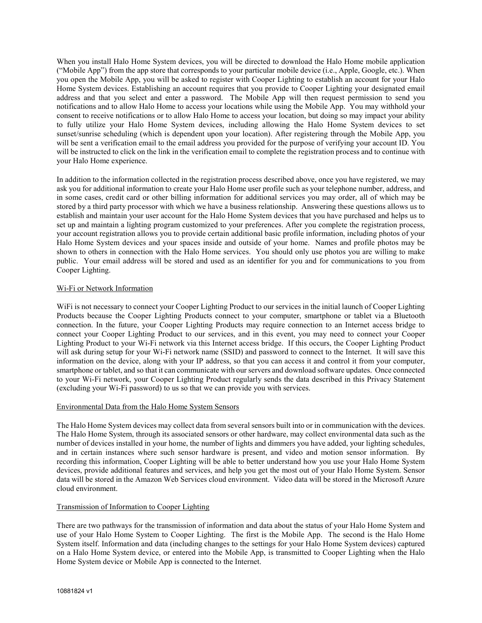When you install Halo Home System devices, you will be directed to download the Halo Home mobile application ("Mobile App") from the app store that corresponds to your particular mobile device (i.e., Apple, Google, etc.). When you open the Mobile App, you will be asked to register with Cooper Lighting to establish an account for your Halo Home System devices. Establishing an account requires that you provide to Cooper Lighting your designated email address and that you select and enter a password. The Mobile App will then request permission to send you notifications and to allow Halo Home to access your locations while using the Mobile App. You may withhold your consent to receive notifications or to allow Halo Home to access your location, but doing so may impact your ability to fully utilize your Halo Home System devices, including allowing the Halo Home System devices to set sunset/sunrise scheduling (which is dependent upon your location). After registering through the Mobile App, you will be sent a verification email to the email address you provided for the purpose of verifying your account ID. You will be instructed to click on the link in the verification email to complete the registration process and to continue with your Halo Home experience.

In addition to the information collected in the registration process described above, once you have registered, we may ask you for additional information to create your Halo Home user profile such as your telephone number, address, and in some cases, credit card or other billing information for additional services you may order, all of which may be stored by a third party processor with which we have a business relationship. Answering these questions allows us to establish and maintain your user account for the Halo Home System devices that you have purchased and helps us to set up and maintain a lighting program customized to your preferences. After you complete the registration process, your account registration allows you to provide certain additional basic profile information, including photos of your Halo Home System devices and your spaces inside and outside of your home. Names and profile photos may be shown to others in connection with the Halo Home services. You should only use photos you are willing to make public. Your email address will be stored and used as an identifier for you and for communications to you from Cooper Lighting.

# Wi-Fi or Network Information

WiFi is not necessary to connect your Cooper Lighting Product to our services in the initial launch of Cooper Lighting Products because the Cooper Lighting Products connect to your computer, smartphone or tablet via a Bluetooth connection. In the future, your Cooper Lighting Products may require connection to an Internet access bridge to connect your Cooper Lighting Product to our services, and in this event, you may need to connect your Cooper Lighting Product to your Wi-Fi network via this Internet access bridge. If this occurs, the Cooper Lighting Product will ask during setup for your Wi-Fi network name (SSID) and password to connect to the Internet. It will save this information on the device, along with your IP address, so that you can access it and control it from your computer, smartphone or tablet, and so that it can communicate with our servers and download software updates. Once connected to your Wi-Fi network, your Cooper Lighting Product regularly sends the data described in this Privacy Statement (excluding your Wi-Fi password) to us so that we can provide you with services.

### Environmental Data from the Halo Home System Sensors

The Halo Home System devices may collect data from several sensors built into or in communication with the devices. The Halo Home System, through its associated sensors or other hardware, may collect environmental data such as the number of devices installed in your home, the number of lights and dimmers you have added, your lighting schedules, and in certain instances where such sensor hardware is present, and video and motion sensor information. By recording this information, Cooper Lighting will be able to better understand how you use your Halo Home System devices, provide additional features and services, and help you get the most out of your Halo Home System. Sensor data will be stored in the Amazon Web Services cloud environment. Video data will be stored in the Microsoft Azure cloud environment.

### Transmission of Information to Cooper Lighting

There are two pathways for the transmission of information and data about the status of your Halo Home System and use of your Halo Home System to Cooper Lighting. The first is the Mobile App. The second is the Halo Home System itself. Information and data (including changes to the settings for your Halo Home System devices) captured on a Halo Home System device, or entered into the Mobile App, is transmitted to Cooper Lighting when the Halo Home System device or Mobile App is connected to the Internet.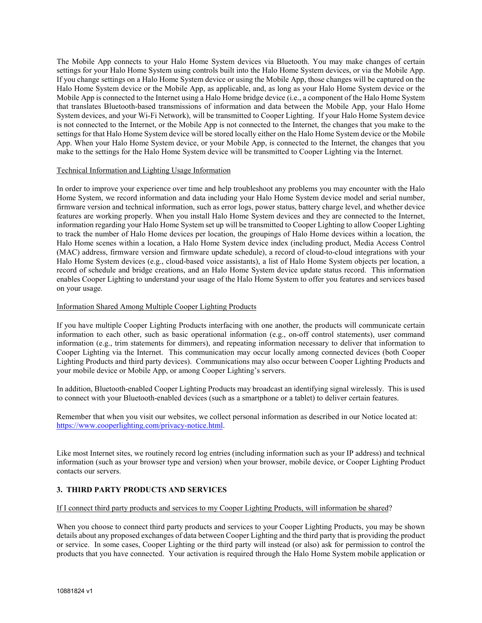The Mobile App connects to your Halo Home System devices via Bluetooth. You may make changes of certain settings for your Halo Home System using controls built into the Halo Home System devices, or via the Mobile App. If you change settings on a Halo Home System device or using the Mobile App, those changes will be captured on the Halo Home System device or the Mobile App, as applicable, and, as long as your Halo Home System device or the Mobile App is connected to the Internet using a Halo Home bridge device (i.e., a component of the Halo Home System that translates Bluetooth-based transmissions of information and data between the Mobile App, your Halo Home System devices, and your Wi-Fi Network), will be transmitted to Cooper Lighting. If your Halo Home System device is not connected to the Internet, or the Mobile App is not connected to the Internet, the changes that you make to the settings for that Halo Home System device will be stored locally either on the Halo Home System device or the Mobile App. When your Halo Home System device, or your Mobile App, is connected to the Internet, the changes that you make to the settings for the Halo Home System device will be transmitted to Cooper Lighting via the Internet.

# Technical Information and Lighting Usage Information

In order to improve your experience over time and help troubleshoot any problems you may encounter with the Halo Home System, we record information and data including your Halo Home System device model and serial number, firmware version and technical information, such as error logs, power status, battery charge level, and whether device features are working properly. When you install Halo Home System devices and they are connected to the Internet, information regarding your Halo Home System set up will be transmitted to Cooper Lighting to allow Cooper Lighting to track the number of Halo Home devices per location, the groupings of Halo Home devices within a location, the Halo Home scenes within a location, a Halo Home System device index (including product, Media Access Control (MAC) address, firmware version and firmware update schedule), a record of cloud-to-cloud integrations with your Halo Home System devices (e.g., cloud-based voice assistants), a list of Halo Home System objects per location, a record of schedule and bridge creations, and an Halo Home System device update status record. This information enables Cooper Lighting to understand your usage of the Halo Home System to offer you features and services based on your usage.

# Information Shared Among Multiple Cooper Lighting Products

If you have multiple Cooper Lighting Products interfacing with one another, the products will communicate certain information to each other, such as basic operational information (e.g., on-off control statements), user command information (e.g., trim statements for dimmers), and repeating information necessary to deliver that information to Cooper Lighting via the Internet. This communication may occur locally among connected devices (both Cooper Lighting Products and third party devices). Communications may also occur between Cooper Lighting Products and your mobile device or Mobile App, or among Cooper Lighting's servers.

In addition, Bluetooth-enabled Cooper Lighting Products may broadcast an identifying signal wirelessly. This is used to connect with your Bluetooth-enabled devices (such as a smartphone or a tablet) to deliver certain features.

Remember that when you visit our websites, we collect personal information as described in our Notice located at: [https://www.cooperlighting.com/privacy-notice.html.](https://www.cooperlighting.com/privacy-notice.html) 

Like most Internet sites, we routinely record log entries (including information such as your IP address) and technical information (such as your browser type and version) when your browser, mobile device, or Cooper Lighting Product contacts our servers.

# **3. THIRD PARTY PRODUCTS AND SERVICES**

#### If I connect third party products and services to my Cooper Lighting Products, will information be shared?

When you choose to connect third party products and services to your Cooper Lighting Products, you may be shown details about any proposed exchanges of data between Cooper Lighting and the third party that is providing the product or service. In some cases, Cooper Lighting or the third party will instead (or also) ask for permission to control the products that you have connected. Your activation is required through the Halo Home System mobile application or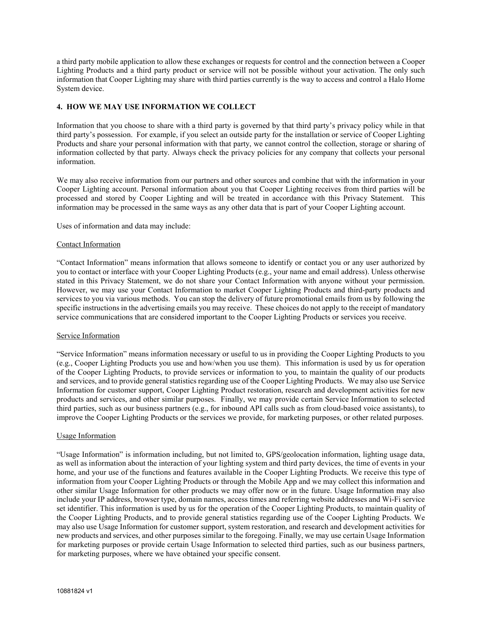a third party mobile application to allow these exchanges or requests for control and the connection between a Cooper Lighting Products and a third party product or service will not be possible without your activation. The only such information that Cooper Lighting may share with third parties currently is the way to access and control a Halo Home System device.

# **4. HOW WE MAY USE INFORMATION WE COLLECT**

Information that you choose to share with a third party is governed by that third party's privacy policy while in that third party's possession. For example, if you select an outside party for the installation or service of Cooper Lighting Products and share your personal information with that party, we cannot control the collection, storage or sharing of information collected by that party. Always check the privacy policies for any company that collects your personal information.

We may also receive information from our partners and other sources and combine that with the information in your Cooper Lighting account. Personal information about you that Cooper Lighting receives from third parties will be processed and stored by Cooper Lighting and will be treated in accordance with this Privacy Statement. This information may be processed in the same ways as any other data that is part of your Cooper Lighting account.

Uses of information and data may include:

#### Contact Information

"Contact Information" means information that allows someone to identify or contact you or any user authorized by you to contact or interface with your Cooper Lighting Products (e.g., your name and email address). Unless otherwise stated in this Privacy Statement, we do not share your Contact Information with anyone without your permission. However, we may use your Contact Information to market Cooper Lighting Products and third-party products and services to you via various methods. You can stop the delivery of future promotional emails from us by following the specific instructions in the advertising emails you may receive. These choices do not apply to the receipt of mandatory service communications that are considered important to the Cooper Lighting Products or services you receive.

# Service Information

"Service Information" means information necessary or useful to us in providing the Cooper Lighting Products to you (e.g., Cooper Lighting Products you use and how/when you use them). This information is used by us for operation of the Cooper Lighting Products, to provide services or information to you, to maintain the quality of our products and services, and to provide general statistics regarding use of the Cooper Lighting Products. We may also use Service Information for customer support, Cooper Lighting Product restoration, research and development activities for new products and services, and other similar purposes. Finally, we may provide certain Service Information to selected third parties, such as our business partners (e.g., for inbound API calls such as from cloud-based voice assistants), to improve the Cooper Lighting Products or the services we provide, for marketing purposes, or other related purposes.

#### Usage Information

"Usage Information" is information including, but not limited to, GPS/geolocation information, lighting usage data, as well as information about the interaction of your lighting system and third party devices, the time of events in your home, and your use of the functions and features available in the Cooper Lighting Products. We receive this type of information from your Cooper Lighting Products or through the Mobile App and we may collect this information and other similar Usage Information for other products we may offer now or in the future. Usage Information may also include your IP address, browser type, domain names, access times and referring website addresses and Wi-Fi service set identifier. This information is used by us for the operation of the Cooper Lighting Products, to maintain quality of the Cooper Lighting Products, and to provide general statistics regarding use of the Cooper Lighting Products. We may also use Usage Information for customer support, system restoration, and research and development activities for new products and services, and other purposes similar to the foregoing. Finally, we may use certain Usage Information for marketing purposes or provide certain Usage Information to selected third parties, such as our business partners, for marketing purposes, where we have obtained your specific consent.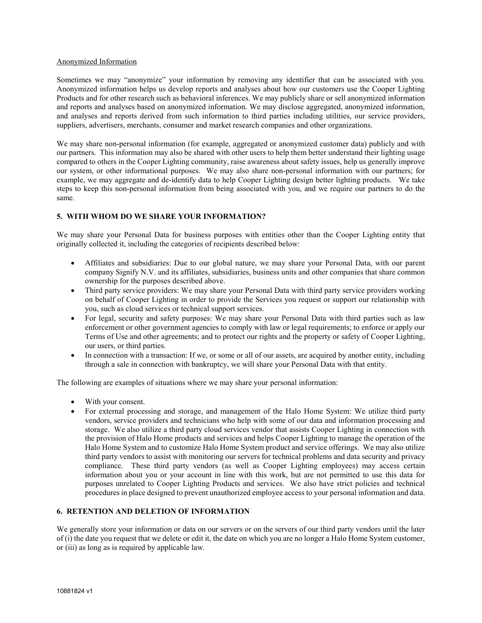### Anonymized Information

Sometimes we may "anonymize" your information by removing any identifier that can be associated with you. Anonymized information helps us develop reports and analyses about how our customers use the Cooper Lighting Products and for other research such as behavioral inferences. We may publicly share or sell anonymized information and reports and analyses based on anonymized information. We may disclose aggregated, anonymized information, and analyses and reports derived from such information to third parties including utilities, our service providers, suppliers, advertisers, merchants, consumer and market research companies and other organizations.

We may share non-personal information (for example, aggregated or anonymized customer data) publicly and with our partners. This information may also be shared with other users to help them better understand their lighting usage compared to others in the Cooper Lighting community, raise awareness about safety issues, help us generally improve our system, or other informational purposes. We may also share non-personal information with our partners; for example, we may aggregate and de-identify data to help Cooper Lighting design better lighting products. We take steps to keep this non-personal information from being associated with you, and we require our partners to do the same.

# **5. WITH WHOM DO WE SHARE YOUR INFORMATION?**

We may share your Personal Data for business purposes with entities other than the Cooper Lighting entity that originally collected it, including the categories of recipients described below:

- Affiliates and subsidiaries: Due to our global nature, we may share your Personal Data, with our parent company Signify N.V. and its affiliates, subsidiaries, business units and other companies that share common ownership for the purposes described above.
- Third party service providers: We may share your Personal Data with third party service providers working on behalf of Cooper Lighting in order to provide the Services you request or support our relationship with you, such as cloud services or technical support services.
- For legal, security and safety purposes: We may share your Personal Data with third parties such as law enforcement or other government agencies to comply with law or legal requirements; to enforce or apply our Terms of Use and other agreements; and to protect our rights and the property or safety of Cooper Lighting, our users, or third parties.
- In connection with a transaction: If we, or some or all of our assets, are acquired by another entity, including through a sale in connection with bankruptcy, we will share your Personal Data with that entity.

The following are examples of situations where we may share your personal information:

- With your consent.
- For external processing and storage, and management of the Halo Home System: We utilize third party vendors, service providers and technicians who help with some of our data and information processing and storage. We also utilize a third party cloud services vendor that assists Cooper Lighting in connection with the provision of Halo Home products and services and helps Cooper Lighting to manage the operation of the Halo Home System and to customize Halo Home System product and service offerings. We may also utilize third party vendors to assist with monitoring our servers for technical problems and data security and privacy compliance. These third party vendors (as well as Cooper Lighting employees) may access certain information about you or your account in line with this work, but are not permitted to use this data for purposes unrelated to Cooper Lighting Products and services. We also have strict policies and technical procedures in place designed to prevent unauthorized employee access to your personal information and data.

# **6. RETENTION AND DELETION OF INFORMATION**

We generally store your information or data on our servers or on the servers of our third party vendors until the later of (i) the date you request that we delete or edit it, the date on which you are no longer a Halo Home System customer, or (iii) as long as is required by applicable law.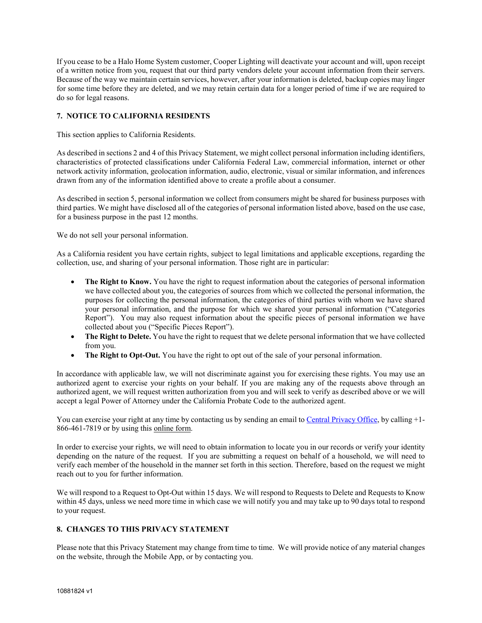If you cease to be a Halo Home System customer, Cooper Lighting will deactivate your account and will, upon receipt of a written notice from you, request that our third party vendors delete your account information from their servers. Because of the way we maintain certain services, however, after your information is deleted, backup copies may linger for some time before they are deleted, and we may retain certain data for a longer period of time if we are required to do so for legal reasons.

# **7. NOTICE TO CALIFORNIA RESIDENTS**

This section applies to California Residents.

As described in sections 2 and 4 of this Privacy Statement, we might collect personal information including identifiers, characteristics of protected classifications under California Federal Law, commercial information, internet or other network activity information, geolocation information, audio, electronic, visual or similar information, and inferences drawn from any of the information identified above to create a profile about a consumer.

As described in section 5, personal information we collect from consumers might be shared for business purposes with third parties. We might have disclosed all of the categories of personal information listed above, based on the use case, for a business purpose in the past 12 months.

We do not sell your personal information.

As a California resident you have certain rights, subject to legal limitations and applicable exceptions, regarding the collection, use, and sharing of your personal information. Those right are in particular:

- **The Right to Know.** You have the right to request information about the categories of personal information we have collected about you, the categories of sources from which we collected the personal information, the purposes for collecting the personal information, the categories of third parties with whom we have shared your personal information, and the purpose for which we shared your personal information ("Categories Report"). You may also request information about the specific pieces of personal information we have collected about you ("Specific Pieces Report").
- **The Right to Delete.** You have the right to request that we delete personal information that we have collected from you.
- **The Right to Opt-Out.** You have the right to opt out of the sale of your personal information.

In accordance with applicable law, we will not discriminate against you for exercising these rights. You may use an authorized agent to exercise your rights on your behalf. If you are making any of the requests above through an authorized agent, we will request written authorization from you and will seek to verify as described above or we will accept a legal Power of Attorney under the California Probate Code to the authorized agent.

You can exercise your right at any time by contacting us by sending an email t[o Central Privacy Office,](mailto:privacy@cooperlighting.com) by calling +1-866-461-7819 or by using this [online form.](https://www.signify.com/global/privacy/privacy-request)

In order to exercise your rights, we will need to obtain information to locate you in our records or verify your identity depending on the nature of the request. If you are submitting a request on behalf of a household, we will need to verify each member of the household in the manner set forth in this section. Therefore, based on the request we might reach out to you for further information.

We will respond to a Request to Opt-Out within 15 days. We will respond to Requests to Delete and Requests to Know within 45 days, unless we need more time in which case we will notify you and may take up to 90 days total to respond to your request.

# **8. CHANGES TO THIS PRIVACY STATEMENT**

Please note that this Privacy Statement may change from time to time. We will provide notice of any material changes on the website, through the Mobile App, or by contacting you.